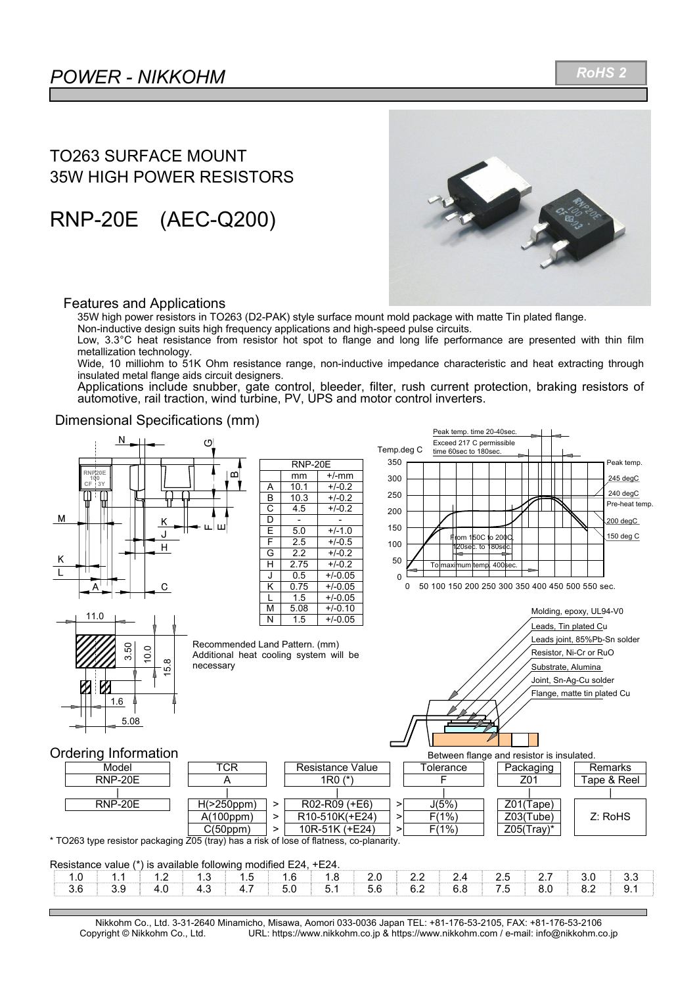*RoHS 2*

## TO263 SURFACE MOUNT 35W HIGH POWER RESISTORS

RNP-20E (AEC-Q200)



### Features and Applications

35W high power resistors in TO263 (D2-PAK) style surface mount mold package with matte Tin plated flange.

Non-inductive design suits high frequency applications and high-speed pulse circuits.

Low, 3.3°C heat resistance from resistor hot spot to flange and long life performance are presented with thin film metallization technology.

Wide, 10 milliohm to 51K Ohm resistance range, non-inductive impedance characteristic and heat extracting through insulated metal flange aids circuit designers.

Applications include snubber, gate control, bleeder, filter, rush current protection, braking resistors of automotive, rail traction, wind turbine, PV, UPS and motor control inverters.

### Dimensional Specifications (mm)



Nikkohm Co., Ltd. 3-31-2640 Minamicho, Misawa, Aomori 033-0036 Japan TEL: +81-176-53-2105, FAX: +81-176-53-2106 URL: https://www.nikkohm.co.jp & https://www.nikkohm.com / e-mail: info@nikkohm.co.jp